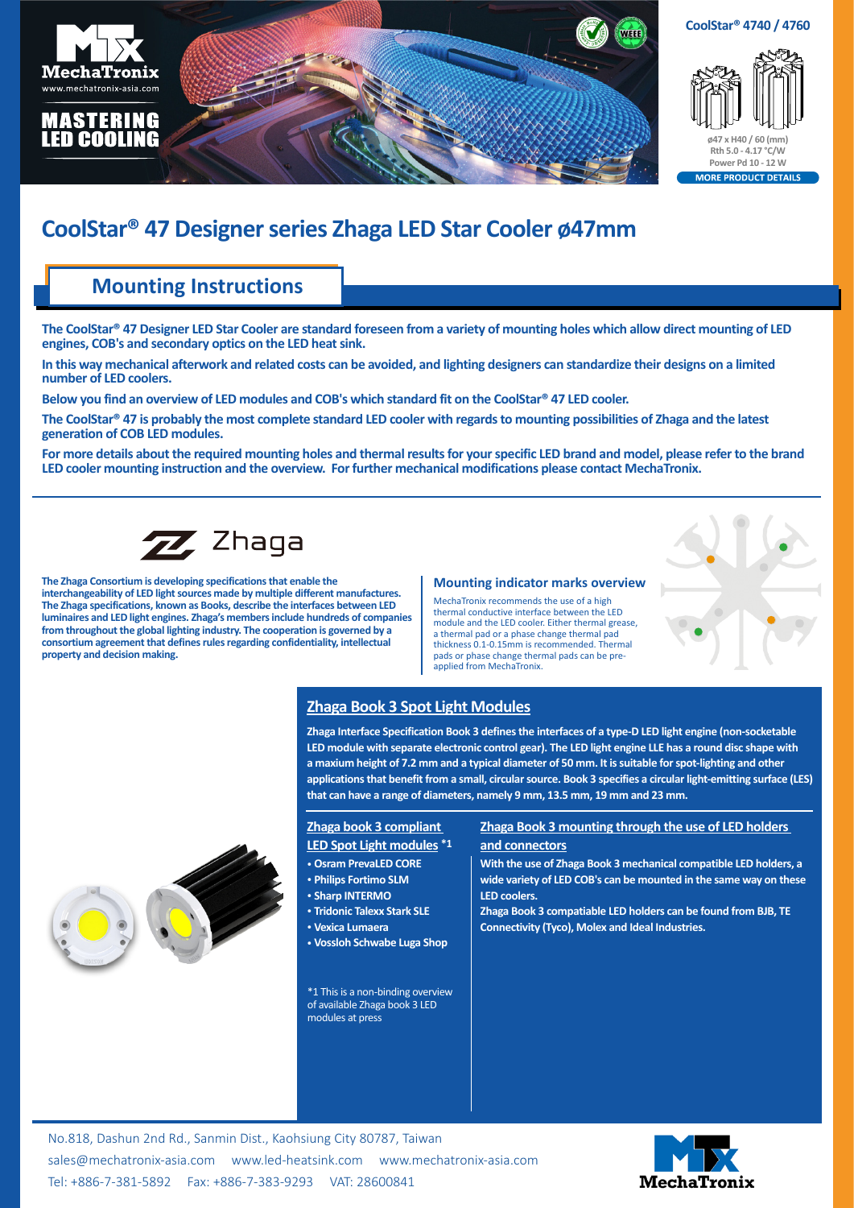

# **CoolStar® 47 Designer series Zhaga LED Star Cooler ø47mm**

## **Mounting Instructions**

**The CoolStar® 47 Designer LED Star Cooler are standard foreseen from a variety of mounting holes which allow direct mounting of LED engines, COB's and secondary optics on the LED heat sink.**

**In this way mechanical afterwork and related costs can be avoided, and lighting designers can standardize their designs on a limited number of LED coolers.**

**Below you find an overview of LED modules and COB's which standard fit on the CoolStar® 47 LED cooler.**

**The CoolStar® 47 is probably the most complete standard LED cooler with regards to mounting possibilities of Zhaga and the latest generation of COB LED modules.**

**For more details about the required mounting holes and thermal results for your specific LED brand and model, please refer to the brand LED cooler mounting instruction and the overview. For further mechanical modifications please contact MechaTronix.**



**The Zhaga Consortium is developing specifications that enable the interchangeability of LED light sources made by multiple different manufactures. The Zhaga specifications, known as Books, describe the interfaces between LED luminaires and LED light engines. Zhaga's members include hundreds of companies from throughout the global lighting industry. The cooperation is governed by a consortium agreement that defines rules regarding confidentiality, intellectual property and decision making.**

#### **Mounting indicator marks overview**

MechaTronix recommends the use of a high thermal conductive interface between the LED module and the LED cooler. Either thermal grease, a thermal pad or a phase change thermal pad thickness 0.1-0.15mm is recommended. Thermal pads or phase change thermal pads can be preapplied from MechaTronix.

### **Zhaga Book 3 Spot Light Modules**

**Zhaga Interface Specification Book 3 defines the interfaces of a type-D LED light engine (non-socketable LED module with separate electronic control gear). The LED light engine LLE has a round disc shape with a maxium height of 7.2 mm and a typical diameter of 50 mm. It is suitable for spot-lighting and other applications that benefit from a small, circular source. Book 3 specifies a circular light-emitting surface (LES) that can have a range of diameters, namely 9 mm, 13.5 mm, 19 mm and 23 mm.**

### **Zhaga book 3 compliant LED Spot Light modules \*1**

- • **Osram PrevaLED CORE**
- • **Philips Fortimo SLM**
- • **Sharp INTERMO**
- • **Tridonic Talexx Stark SLE**
- • **Vexica Lumaera**
- 
- • **Vossloh Schwabe Luga Shop**

\*1 This is a non-binding overview of available Zhaga book 3 LED modules at press

### **Zhaga Book 3 mounting through the use of LED holders and connectors**

**With the use of Zhaga Book 3 mechanical compatible LED holders, a wide variety of LED COB's can be mounted in the same way on these LED coolers.**

**Zhaga Book 3 compatiable LED holders can be found from BJB, TE Connectivity (Tyco), Molex and Ideal Industries.**

No.818, Dashun 2nd Rd., Sanmin Dist., Kaohsiung City 80787, Taiwan [sales@mechatronix-asia.com](mailto:sales%40mechatronix-asia.com?subject=) [www.led-heatsink.com](http://www.led-heatsink.com) [www.mechatronix-asia.com](http://www.mechatronix-asia.com) Tel: +886-7-381-5892 Fax: +886-7-383-9293 VAT: 28600841